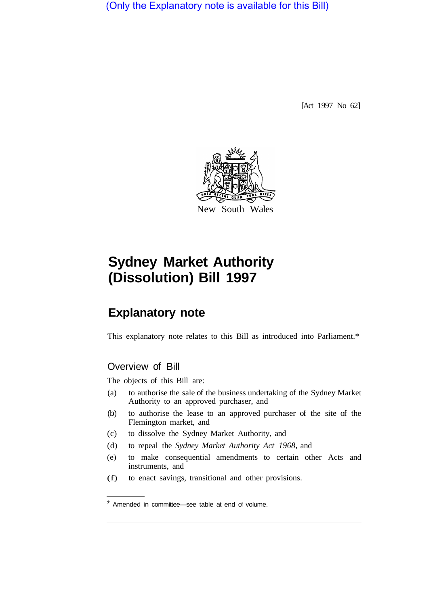(Only the Explanatory note is available for this Bill)

[Act 1997 No 62]



# **Sydney Market Authority (Dissolution) Bill 1997**

# **Explanatory note**

This explanatory note relates to this Bill as introduced into Parliament.\*

## Overview of Bill

The objects of this Bill are:

- (a) to authorise the sale of the business undertaking of the Sydney Market Authority to an approved purchaser, and
- (b) to authorise the lease to an approved purchaser of the site of the Flemington market, and
- (c) to dissolve the Sydney Market Authority, and
- (d) to repeal the *Sydney Market Authority Act 1968,* and
- (e) to make consequential amendments to certain other Acts and instruments, and
- (f) to enact savings, transitional and other provisions.

<sup>\*</sup> Amended in committee—see table at end of volume.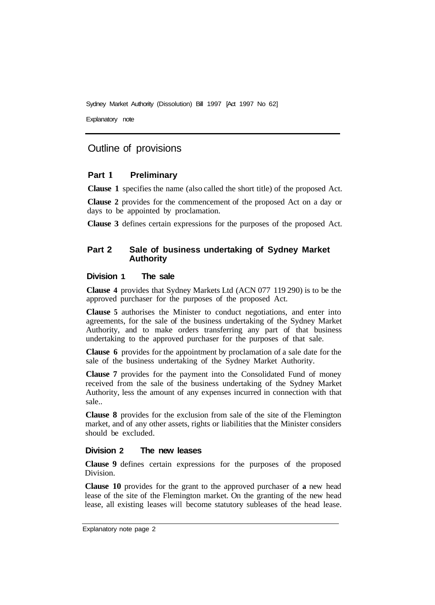Sydney Market Authority (Dissolution) Bill 1997 [Act 1997 No 62]

Explanatory note

## Outline of provisions

#### **Part 1 Preliminary**

**Clause 1** specifies the name (also called the short title) of the proposed Act.

**Clause 2** provides for the commencement of the proposed Act on a day or days to be appointed by proclamation.

**Clause 3** defines certain expressions for the purposes of the proposed Act.

#### **Part 2 Sale of business undertaking of Sydney Market Authority**

#### **Division 1 The sale**

**Clause 4** provides that Sydney Markets Ltd (ACN 077 119 290) is to be the approved purchaser for the purposes of the proposed Act.

**Clause 5** authorises the Minister to conduct negotiations, and enter into agreements, for the sale of the business undertaking of the Sydney Market Authority, and to make orders transferring any part of that business undertaking to the approved purchaser for the purposes of that sale.

**Clause 6** provides for the appointment by proclamation of a sale date for the sale of the business undertaking of the Sydney Market Authority.

**Clause 7** provides for the payment into the Consolidated Fund of money received from the sale of the business undertaking of the Sydney Market Authority, less the amount of any expenses incurred in connection with that sale..

**Clause 8** provides for the exclusion from sale of the site of the Flemington market, and of any other assets, rights or liabilities that the Minister considers should be excluded.

#### **Division 2 The new leases**

**Clause 9** defines certain expressions for the purposes of the proposed Division.

**Clause 10** provides for the grant to the approved purchaser of **a** new head lease of the site of the Flemington market. On the granting of the new head lease, all existing leases will become statutory subleases of the head lease.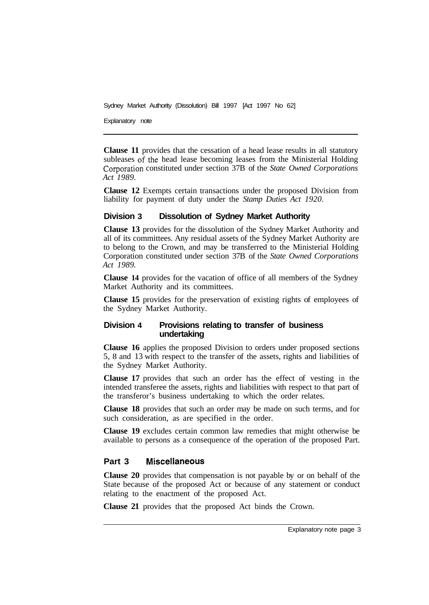Sydney Market Authority (Dissolution) Bill 1997 [Act 1997 No 62]

Explanatory note

**Clause 11** provides that the cessation of a head lease results in all statutory subleases of the head lease becoming leases from the Ministerial Holding Corporation constituted under section 37B of the *State Owned Corporations Act 1989.* 

**Clause 12** Exempts certain transactions under the proposed Division from liability for payment of duty under the *Stamp Duties Act 1920.* 

#### **Division 3 Dissolution of Sydney Market Authority**

**Clause 13** provides for the dissolution of the Sydney Market Authority and all of its committees. Any residual assets of the Sydney Market Authority are to belong to the Crown, and may be transferred to the Ministerial Holding Corporation constituted under section 37B of the *State Owned Corporations Act 1989.* 

**Clause 14** provides for the vacation of office of all members of the Sydney Market Authority and its committees.

**Clause 15** provides for the preservation of existing rights of employees of the Sydney Market Authority.

#### **Division 4 Provisions relating to transfer of business undertaking**

**Clause 16** applies the proposed Division to orders under proposed sections 5, 8 and 13 with respect to the transfer of the assets, rights and liabilities of the Sydney Market Authority.

**Clause 17** provides that such an order has the effect of vesting in the intended transferee the assets, rights and liabilities with respect to that part of the transferor's business undertaking to which the order relates.

**Clause 18** provides that such an order may be made on such terms, and for such consideration, as are specified in the order.

**Clause 19** excludes certain common law remedies that might otherwise be available to persons as a consequence of the operation of the proposed Part.

#### **Part 3 Miscellaneous**

**Clause 20** provides that compensation is not payable by or on behalf of the State because of the proposed Act or because of any statement or conduct relating to the enactment of the proposed Act.

**Clause 21** provides that the proposed Act binds the Crown.